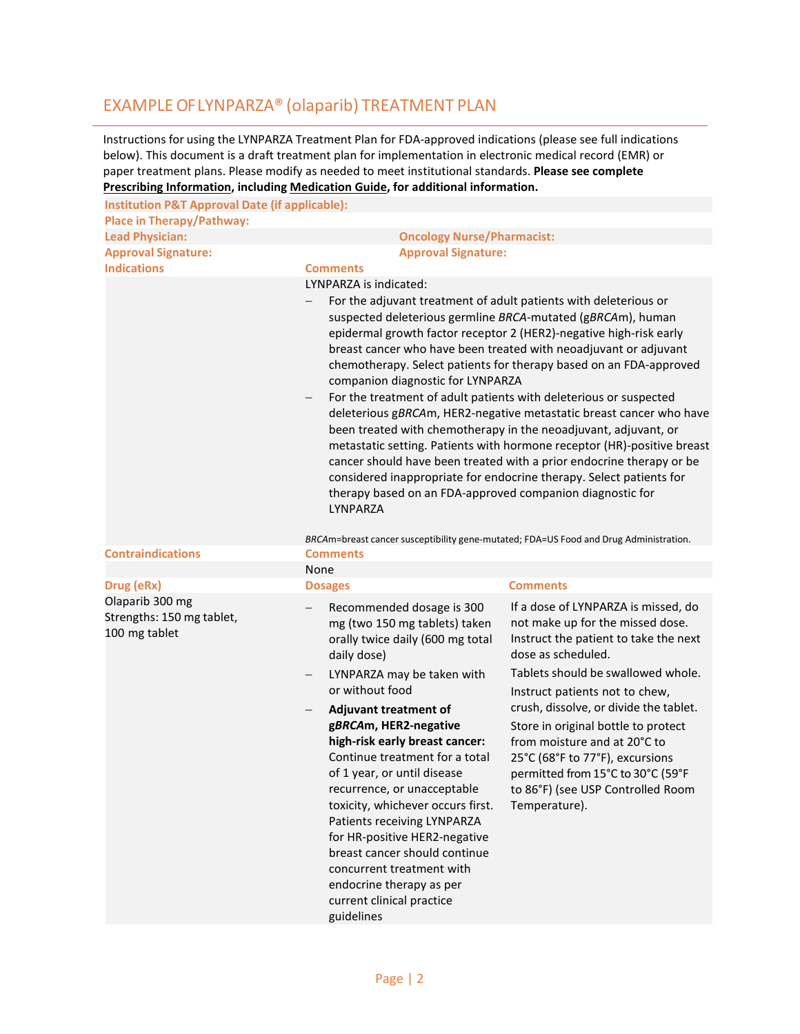# EXAMPLE OF LYNPARZA® (olaparib) TREATMENT PLAN

Instructions for using the LYNPARZA Treatment Plan for FDA-approved indications (please see full indications below). This document is a draft treatment plan for implementation in electronic medical record (EMR) or paper treatment plans. Please modify as needed to meet institutional standards. **Please see complete [Prescribing Information,](https://den8dhaj6zs0e.cloudfront.net/50fd68b9-106b-4550-b5d0-12b045f8b184/00997c3f-5912-486f-a7db-930b4639cd51/00997c3f-5912-486f-a7db-930b4639cd51_viewable_rendition__v.pdf) including [Medication Guide,](https://den8dhaj6zs0e.cloudfront.net/50fd68b9-106b-4550-b5d0-12b045f8b184/00997c3f-5912-486f-a7db-930b4639cd51/00997c3f-5912-486f-a7db-930b4639cd51_pi_med_guide_rendition__c.pdf) for additional information.**

| <b>Institution P&amp;T Approval Date (if applicable):</b>     |                                                                                                                                                                                                                                                                                                                                                                                                                                                                                                                                                                                                                                                                                                                                                                                                                                                                                                                                                       |                                                                                                                                                                                                                                                                                                                                                                                                                                                               |  |
|---------------------------------------------------------------|-------------------------------------------------------------------------------------------------------------------------------------------------------------------------------------------------------------------------------------------------------------------------------------------------------------------------------------------------------------------------------------------------------------------------------------------------------------------------------------------------------------------------------------------------------------------------------------------------------------------------------------------------------------------------------------------------------------------------------------------------------------------------------------------------------------------------------------------------------------------------------------------------------------------------------------------------------|---------------------------------------------------------------------------------------------------------------------------------------------------------------------------------------------------------------------------------------------------------------------------------------------------------------------------------------------------------------------------------------------------------------------------------------------------------------|--|
| <b>Place in Therapy/Pathway:</b>                              |                                                                                                                                                                                                                                                                                                                                                                                                                                                                                                                                                                                                                                                                                                                                                                                                                                                                                                                                                       |                                                                                                                                                                                                                                                                                                                                                                                                                                                               |  |
| <b>Lead Physician:</b>                                        | <b>Oncology Nurse/Pharmacist:</b>                                                                                                                                                                                                                                                                                                                                                                                                                                                                                                                                                                                                                                                                                                                                                                                                                                                                                                                     |                                                                                                                                                                                                                                                                                                                                                                                                                                                               |  |
| <b>Approval Signature:</b>                                    | <b>Approval Signature:</b>                                                                                                                                                                                                                                                                                                                                                                                                                                                                                                                                                                                                                                                                                                                                                                                                                                                                                                                            |                                                                                                                                                                                                                                                                                                                                                                                                                                                               |  |
| <b>Indications</b>                                            | <b>Comments</b>                                                                                                                                                                                                                                                                                                                                                                                                                                                                                                                                                                                                                                                                                                                                                                                                                                                                                                                                       |                                                                                                                                                                                                                                                                                                                                                                                                                                                               |  |
|                                                               | LYNPARZA is indicated:<br>For the adjuvant treatment of adult patients with deleterious or<br>suspected deleterious germline BRCA-mutated (gBRCAm), human<br>epidermal growth factor receptor 2 (HER2)-negative high-risk early<br>breast cancer who have been treated with neoadjuvant or adjuvant<br>chemotherapy. Select patients for therapy based on an FDA-approved<br>companion diagnostic for LYNPARZA<br>For the treatment of adult patients with deleterious or suspected<br>$\qquad \qquad -$<br>deleterious gBRCAm, HER2-negative metastatic breast cancer who have<br>been treated with chemotherapy in the neoadjuvant, adjuvant, or<br>metastatic setting. Patients with hormone receptor (HR)-positive breast<br>cancer should have been treated with a prior endocrine therapy or be<br>considered inappropriate for endocrine therapy. Select patients for<br>therapy based on an FDA-approved companion diagnostic for<br>LYNPARZA |                                                                                                                                                                                                                                                                                                                                                                                                                                                               |  |
| <b>Contraindications</b>                                      | <b>Comments</b>                                                                                                                                                                                                                                                                                                                                                                                                                                                                                                                                                                                                                                                                                                                                                                                                                                                                                                                                       | BRCAm=breast cancer susceptibility gene-mutated; FDA=US Food and Drug Administration.                                                                                                                                                                                                                                                                                                                                                                         |  |
|                                                               | None                                                                                                                                                                                                                                                                                                                                                                                                                                                                                                                                                                                                                                                                                                                                                                                                                                                                                                                                                  |                                                                                                                                                                                                                                                                                                                                                                                                                                                               |  |
| Drug (eRx)                                                    | <b>Dosages</b>                                                                                                                                                                                                                                                                                                                                                                                                                                                                                                                                                                                                                                                                                                                                                                                                                                                                                                                                        | <b>Comments</b>                                                                                                                                                                                                                                                                                                                                                                                                                                               |  |
| Olaparib 300 mg<br>Strengths: 150 mg tablet,<br>100 mg tablet | Recommended dosage is 300<br>mg (two 150 mg tablets) taken<br>orally twice daily (600 mg total<br>daily dose)<br>LYNPARZA may be taken with<br>$\qquad \qquad -$<br>or without food<br>Adjuvant treatment of<br>$\overline{\phantom{m}}$<br>gBRCAm, HER2-negative<br>high-risk early breast cancer:<br>Continue treatment for a total<br>of 1 year, or until disease<br>recurrence, or unacceptable<br>toxicity, whichever occurs first.<br>Patients receiving LYNPARZA<br>for HR-positive HER2-negative<br>breast cancer should continue<br>concurrent treatment with<br>endocrine therapy as per<br>current clinical practice<br>guidelines                                                                                                                                                                                                                                                                                                         | If a dose of LYNPARZA is missed, do<br>not make up for the missed dose.<br>Instruct the patient to take the next<br>dose as scheduled.<br>Tablets should be swallowed whole.<br>Instruct patients not to chew,<br>crush, dissolve, or divide the tablet.<br>Store in original bottle to protect<br>from moisture and at 20°C to<br>25°C (68°F to 77°F), excursions<br>permitted from 15°C to 30°C (59°F<br>to 86°F) (see USP Controlled Room<br>Temperature). |  |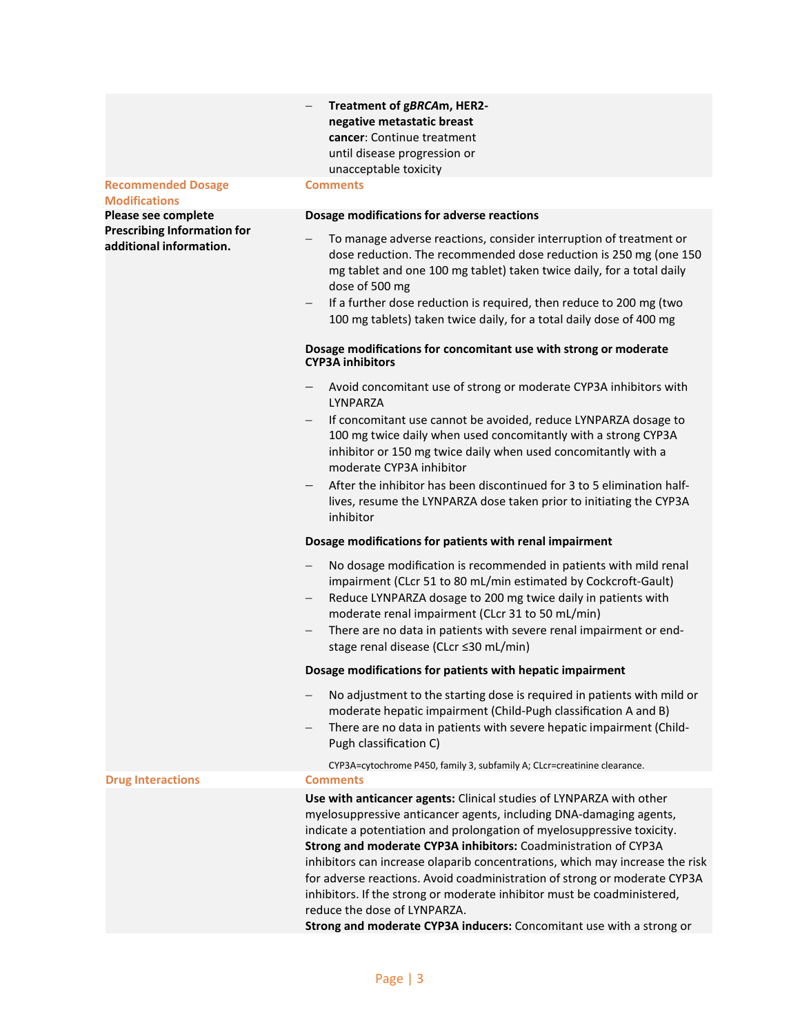### **Recommended Dosage**

**Modifications Please see complete Prescribing Information for additional information.**

# − **Treatment of g***BRCA***m, HER2 negative metastatic breast cancer**: Continue treatment until disease progression or unacceptable toxicity

# **Comments**

# **Dosage modifications for adverse reactions**

- To manage adverse reactions, consider interruption of treatment or dose reduction. The recommended dose reduction is 250 mg (one 150 mg tablet and one 100 mg tablet) taken twice daily, for a total daily dose of 500 mg
- If a further dose reduction is required, then reduce to 200 mg (two 100 mg tablets) taken twice daily, for a total daily dose of 400 mg

# **Dosage modifications for concomitant use with strong or moderate CYP3A inhibitors**

- − Avoid concomitant use of strong or moderate CYP3A inhibitors with LYNPARZA
- − If concomitant use cannot be avoided, reduce LYNPARZA dosage to 100 mg twice daily when used concomitantly with a strong CYP3A inhibitor or 150 mg twice daily when used concomitantly with a moderate CYP3A inhibitor
- − After the inhibitor has been discontinued for 3 to 5 elimination halflives, resume the LYNPARZA dose taken prior to initiating the CYP3A inhibitor

# **Dosage modifications for patients with renal impairment**

- − No dosage modification is recommended in patients with mild renal impairment (CLcr 51 to 80 mL/min estimated by Cockcroft-Gault)
- Reduce LYNPARZA dosage to 200 mg twice daily in patients with moderate renal impairment (CLcr 31 to 50 mL/min)
- − There are no data in patients with severe renal impairment or endstage renal disease (CLcr ≤30 mL/min)

# **Dosage modifications for patients with hepatic impairment**

- No adjustment to the starting dose is required in patients with mild or moderate hepatic impairment (Child-Pugh classification A and B)
- − There are no data in patients with severe hepatic impairment (Child-Pugh classification C)

CYP3A=cytochrome P450, family 3, subfamily A; CLcr=creatinine clearance.

# **Drug Interactions Comments**

**Use with anticancer agents:** Clinical studies of LYNPARZA with other myelosuppressive anticancer agents, including DNA-damaging agents, indicate a potentiation and prolongation of myelosuppressive toxicity. **Strong and moderate CYP3A inhibitors:** Coadministration of CYP3A inhibitors can increase olaparib concentrations, which may increase the risk for adverse reactions. Avoid coadministration of strong or moderate CYP3A inhibitors. If the strong or moderate inhibitor must be coadministered, reduce the dose of LYNPARZA.

**Strong and moderate CYP3A inducers:** Concomitant use with a strong or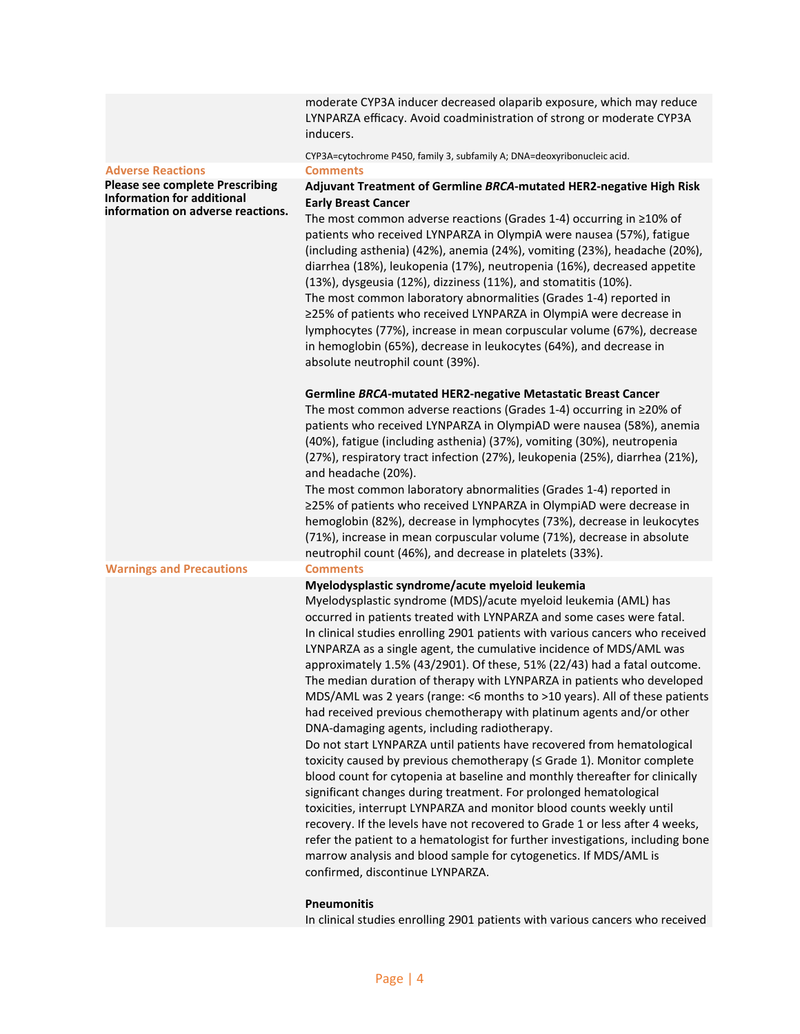moderate CYP3A inducer decreased olaparib exposure, which may reduce LYNPARZA efficacy. Avoid coadministration of strong or moderate CYP3A inducers.

CYP3A=cytochrome P450, family 3, subfamily A; DNA=deoxyribonucleic acid.

#### **Adverse Reactions Comments**

**Please see complete Prescribing Information for additional information on adverse reactions.**

# **Adjuvant Treatment of Germline** *BRCA***-mutated HER2-negative High Risk Early Breast Cancer**

The most common adverse reactions (Grades 1-4) occurring in ≥10% of patients who received LYNPARZA in OlympiA were nausea (57%), fatigue (including asthenia) (42%), anemia (24%), vomiting (23%), headache (20%), diarrhea (18%), leukopenia (17%), neutropenia (16%), decreased appetite (13%), dysgeusia (12%), dizziness (11%), and stomatitis (10%). The most common laboratory abnormalities (Grades 1-4) reported in ≥25% of patients who received LYNPARZA in OlympiA were decrease in lymphocytes (77%), increase in mean corpuscular volume (67%), decrease in hemoglobin (65%), decrease in leukocytes (64%), and decrease in absolute neutrophil count (39%).

### **Germline** *BRCA***-mutated HER2-negative Metastatic Breast Cancer**

The most common adverse reactions (Grades 1-4) occurring in ≥20% of patients who received LYNPARZA in OlympiAD were nausea (58%), anemia (40%), fatigue (including asthenia) (37%), vomiting (30%), neutropenia (27%), respiratory tract infection (27%), leukopenia (25%), diarrhea (21%), and headache (20%).

The most common laboratory abnormalities (Grades 1-4) reported in ≥25% of patients who received LYNPARZA in OlympiAD were decrease in hemoglobin (82%), decrease in lymphocytes (73%), decrease in leukocytes (71%), increase in mean corpuscular volume (71%), decrease in absolute neutrophil count (46%), and decrease in platelets (33%).

### **Warnings and Precautions Comments**

# **Myelodysplastic syndrome/acute myeloid leukemia**

Myelodysplastic syndrome (MDS)/acute myeloid leukemia (AML) has occurred in patients treated with LYNPARZA and some cases were fatal. In clinical studies enrolling 2901 patients with various cancers who received LYNPARZA as a single agent, the cumulative incidence of MDS/AML was approximately 1.5% (43/2901). Of these, 51% (22/43) had a fatal outcome. The median duration of therapy with LYNPARZA in patients who developed MDS/AML was 2 years (range: <6 months to >10 years). All of these patients had received previous chemotherapy with platinum agents and/or other DNA-damaging agents, including radiotherapy.

Do not start LYNPARZA until patients have recovered from hematological toxicity caused by previous chemotherapy (≤ Grade 1). Monitor complete blood count for cytopenia at baseline and monthly thereafter for clinically significant changes during treatment. For prolonged hematological toxicities, interrupt LYNPARZA and monitor blood counts weekly until recovery. If the levels have not recovered to Grade 1 or less after 4 weeks, refer the patient to a hematologist for further investigations, including bone marrow analysis and blood sample for cytogenetics. If MDS/AML is confirmed, discontinue LYNPARZA.

### **Pneumonitis**

In clinical studies enrolling 2901 patients with various cancers who received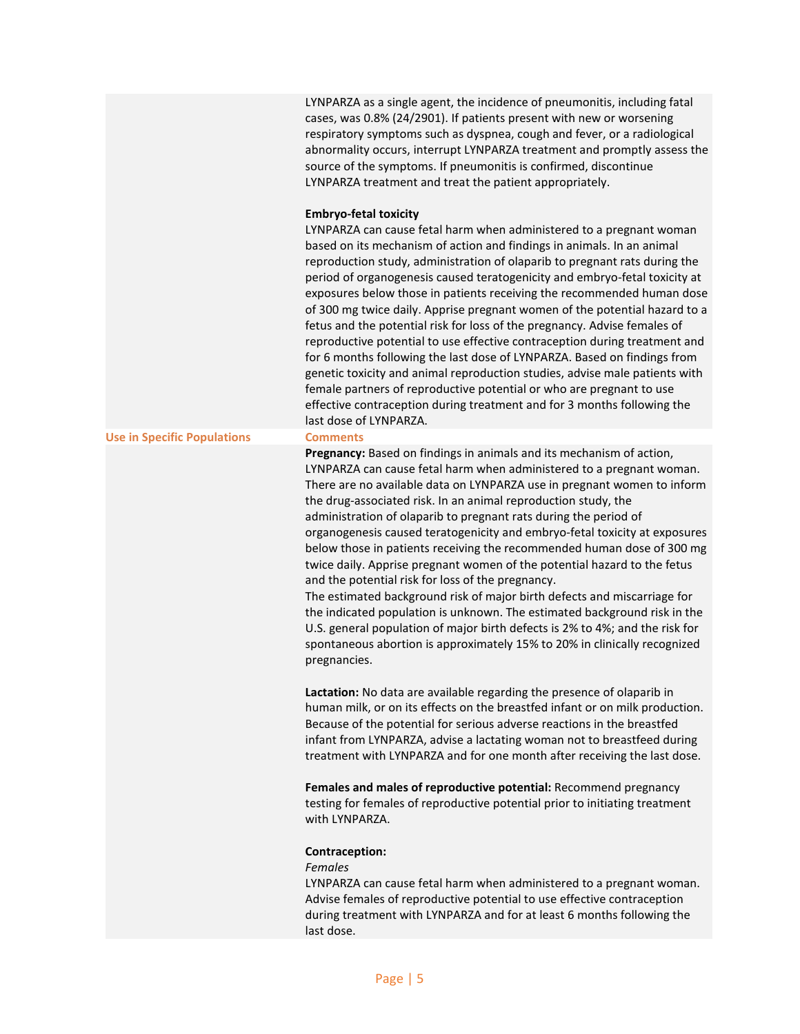|                                    | LYNPARZA as a single agent, the incidence of pneumonitis, including fatal<br>cases, was 0.8% (24/2901). If patients present with new or worsening<br>respiratory symptoms such as dyspnea, cough and fever, or a radiological<br>abnormality occurs, interrupt LYNPARZA treatment and promptly assess the<br>source of the symptoms. If pneumonitis is confirmed, discontinue<br>LYNPARZA treatment and treat the patient appropriately.                                                                                                                                                                                                                                                                                                                                                                                                                                                                                                                                                             |
|------------------------------------|------------------------------------------------------------------------------------------------------------------------------------------------------------------------------------------------------------------------------------------------------------------------------------------------------------------------------------------------------------------------------------------------------------------------------------------------------------------------------------------------------------------------------------------------------------------------------------------------------------------------------------------------------------------------------------------------------------------------------------------------------------------------------------------------------------------------------------------------------------------------------------------------------------------------------------------------------------------------------------------------------|
|                                    | <b>Embryo-fetal toxicity</b><br>LYNPARZA can cause fetal harm when administered to a pregnant woman<br>based on its mechanism of action and findings in animals. In an animal<br>reproduction study, administration of olaparib to pregnant rats during the<br>period of organogenesis caused teratogenicity and embryo-fetal toxicity at<br>exposures below those in patients receiving the recommended human dose<br>of 300 mg twice daily. Apprise pregnant women of the potential hazard to a<br>fetus and the potential risk for loss of the pregnancy. Advise females of<br>reproductive potential to use effective contraception during treatment and<br>for 6 months following the last dose of LYNPARZA. Based on findings from<br>genetic toxicity and animal reproduction studies, advise male patients with<br>female partners of reproductive potential or who are pregnant to use<br>effective contraception during treatment and for 3 months following the<br>last dose of LYNPARZA. |
| <b>Use in Specific Populations</b> | <b>Comments</b>                                                                                                                                                                                                                                                                                                                                                                                                                                                                                                                                                                                                                                                                                                                                                                                                                                                                                                                                                                                      |
|                                    | Pregnancy: Based on findings in animals and its mechanism of action,<br>LYNPARZA can cause fetal harm when administered to a pregnant woman.<br>There are no available data on LYNPARZA use in pregnant women to inform<br>the drug-associated risk. In an animal reproduction study, the<br>administration of olaparib to pregnant rats during the period of<br>organogenesis caused teratogenicity and embryo-fetal toxicity at exposures<br>below those in patients receiving the recommended human dose of 300 mg<br>twice daily. Apprise pregnant women of the potential hazard to the fetus<br>and the potential risk for loss of the pregnancy.<br>The estimated background risk of major birth defects and miscarriage for<br>the indicated population is unknown. The estimated background risk in the<br>U.S. general population of major birth defects is 2% to 4%; and the risk for<br>spontaneous abortion is approximately 15% to 20% in clinically recognized<br>pregnancies.         |
|                                    | Lactation: No data are available regarding the presence of olaparib in<br>human milk, or on its effects on the breastfed infant or on milk production.<br>Because of the potential for serious adverse reactions in the breastfed<br>infant from LYNPARZA, advise a lactating woman not to breastfeed during<br>treatment with LYNPARZA and for one month after receiving the last dose.                                                                                                                                                                                                                                                                                                                                                                                                                                                                                                                                                                                                             |
|                                    | Females and males of reproductive potential: Recommend pregnancy<br>testing for females of reproductive potential prior to initiating treatment<br>with LYNPARZA.                                                                                                                                                                                                                                                                                                                                                                                                                                                                                                                                                                                                                                                                                                                                                                                                                                    |
|                                    | Contraception:<br><b>Females</b><br>LYNPARZA can cause fetal harm when administered to a pregnant woman.<br>Advise females of reproductive potential to use effective contraception<br>during treatment with LYNPARZA and for at least 6 months following the                                                                                                                                                                                                                                                                                                                                                                                                                                                                                                                                                                                                                                                                                                                                        |

last dose.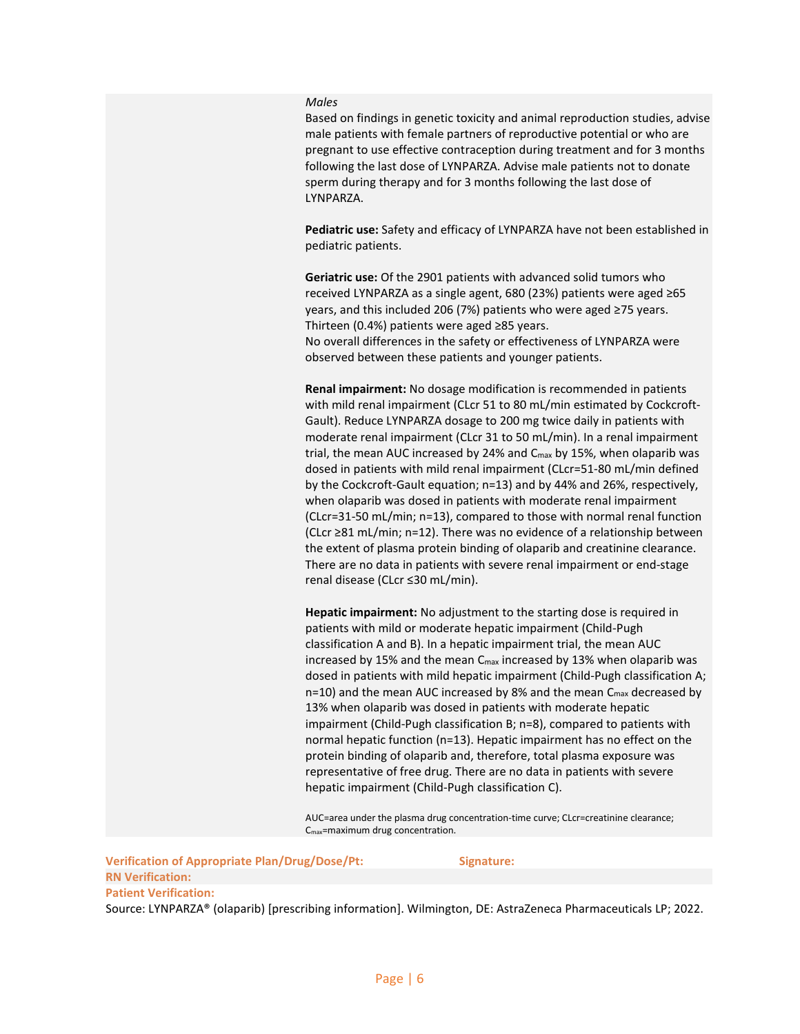### *Males*

Based on findings in genetic toxicity and animal reproduction studies, advise male patients with female partners of reproductive potential or who are pregnant to use effective contraception during treatment and for 3 months following the last dose of LYNPARZA. Advise male patients not to donate sperm during therapy and for 3 months following the last dose of LYNPARZA.

**Pediatric use:** Safety and efficacy of LYNPARZA have not been established in pediatric patients.

**Geriatric use:** Of the 2901 patients with advanced solid tumors who received LYNPARZA as a single agent, 680 (23%) patients were aged ≥65 years, and this included 206 (7%) patients who were aged ≥75 years. Thirteen (0.4%) patients were aged ≥85 years.

No overall differences in the safety or effectiveness of LYNPARZA were observed between these patients and younger patients.

**Renal impairment:** No dosage modification is recommended in patients with mild renal impairment (CLcr 51 to 80 mL/min estimated by Cockcroft-Gault). Reduce LYNPARZA dosage to 200 mg twice daily in patients with moderate renal impairment (CLcr 31 to 50 mL/min). In a renal impairment trial, the mean AUC increased by 24% and Cmax by 15%, when olaparib was dosed in patients with mild renal impairment (CLcr=51-80 mL/min defined by the Cockcroft-Gault equation; n=13) and by 44% and 26%, respectively, when olaparib was dosed in patients with moderate renal impairment (CLcr=31-50 mL/min; n=13), compared to those with normal renal function (CLcr ≥81 mL/min; n=12). There was no evidence of a relationship between the extent of plasma protein binding of olaparib and creatinine clearance. There are no data in patients with severe renal impairment or end-stage renal disease (CLcr ≤30 mL/min).

**Hepatic impairment:** No adjustment to the starting dose is required in patients with mild or moderate hepatic impairment (Child-Pugh classification A and B). In a hepatic impairment trial, the mean AUC increased by 15% and the mean C<sub>max</sub> increased by 13% when olaparib was dosed in patients with mild hepatic impairment (Child-Pugh classification A;  $n=10$ ) and the mean AUC increased by 8% and the mean  $C_{\text{max}}$  decreased by 13% when olaparib was dosed in patients with moderate hepatic impairment (Child-Pugh classification B; n=8), compared to patients with normal hepatic function (n=13). Hepatic impairment has no effect on the protein binding of olaparib and, therefore, total plasma exposure was representative of free drug. There are no data in patients with severe hepatic impairment (Child-Pugh classification C).

AUC=area under the plasma drug concentration-time curve; CLcr=creatinine clearance; Cmax=maximum drug concentration.

**Verification of Appropriate Plan/Drug/Dose/Pt: Signature: RN Verification: Patient Verification:**

Source: LYNPARZA® (olaparib) [prescribing information]. Wilmington, DE: AstraZeneca Pharmaceuticals LP; 2022.